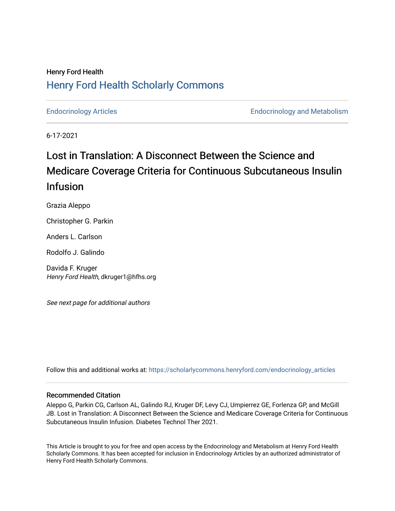## Henry Ford Health [Henry Ford Health Scholarly Commons](https://scholarlycommons.henryford.com/)

[Endocrinology Articles](https://scholarlycommons.henryford.com/endocrinology_articles) [Endocrinology and Metabolism](https://scholarlycommons.henryford.com/endocrinology) 

6-17-2021

# Lost in Translation: A Disconnect Between the Science and Medicare Coverage Criteria for Continuous Subcutaneous Insulin Infusion

Grazia Aleppo

Christopher G. Parkin

Anders L. Carlson

Rodolfo J. Galindo

Davida F. Kruger Henry Ford Health, dkruger1@hfhs.org

See next page for additional authors

Follow this and additional works at: [https://scholarlycommons.henryford.com/endocrinology\\_articles](https://scholarlycommons.henryford.com/endocrinology_articles?utm_source=scholarlycommons.henryford.com%2Fendocrinology_articles%2F111&utm_medium=PDF&utm_campaign=PDFCoverPages)

### Recommended Citation

Aleppo G, Parkin CG, Carlson AL, Galindo RJ, Kruger DF, Levy CJ, Umpierrez GE, Forlenza GP, and McGill JB. Lost in Translation: A Disconnect Between the Science and Medicare Coverage Criteria for Continuous Subcutaneous Insulin Infusion. Diabetes Technol Ther 2021.

This Article is brought to you for free and open access by the Endocrinology and Metabolism at Henry Ford Health Scholarly Commons. It has been accepted for inclusion in Endocrinology Articles by an authorized administrator of Henry Ford Health Scholarly Commons.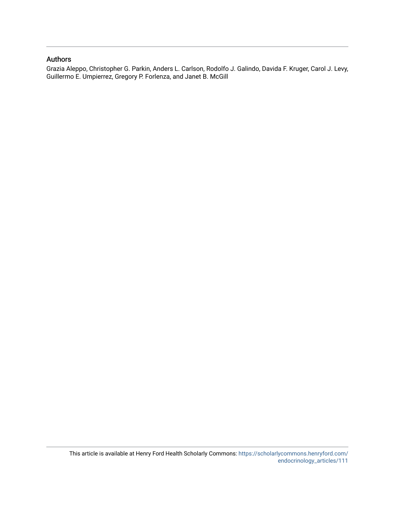## Authors

Grazia Aleppo, Christopher G. Parkin, Anders L. Carlson, Rodolfo J. Galindo, Davida F. Kruger, Carol J. Levy, Guillermo E. Umpierrez, Gregory P. Forlenza, and Janet B. McGill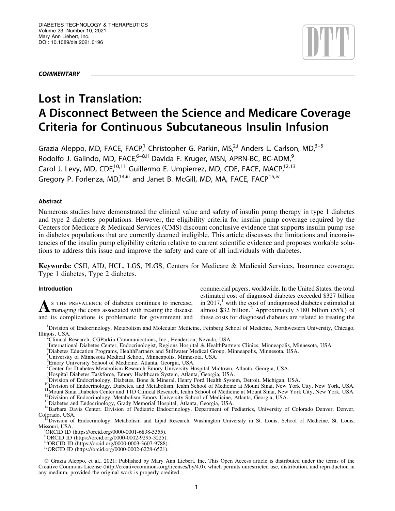**COMMENTARY** 



## Lost in Translation: A Disconnect Between the Science and Medicare Coverage Criteria for Continuous Subcutaneous Insulin Infusion

Grazia Aleppo, MD, FACE, FACP,<sup>1</sup> Christopher G. Parkin, MS,<sup>2,i</sup> Anders L. Carlson, MD,<sup>3-5</sup> Rodolfo J. Galindo, MD, FACE,<sup>6–8,ii</sup> Davida F. Kruger, MSN, APRN-BC, BC-ADM,<sup>9</sup> Carol J. Levy, MD, CDE,<sup>10,11</sup> Guillermo E. Umpierrez, MD, CDE, FACE, MACP,<sup>12,13</sup> Gregory P. Forlenza, MD,<sup>14,iii</sup> and Janet B. McGill, MD, MA, FACE, FACP<sup>15,iv</sup>

### Abstract

Numerous studies have demonstrated the clinical value and safety of insulin pump therapy in type 1 diabetes and type 2 diabetes populations. However, the eligibility criteria for insulin pump coverage required by the Centers for Medicare & Medicaid Services (CMS) discount conclusive evidence that supports insulin pump use in diabetes populations that are currently deemed ineligible. This article discusses the limitations and inconsistencies of the insulin pump eligibility criteria relative to current scientific evidence and proposes workable solutions to address this issue and improve the safety and care of all individuals with diabetes.

Keywords: CSII, AID, HCL, LGS, PLGS, Centers for Medicare & Medicaid Services, Insurance coverage, Type 1 diabetes, Type 2 diabetes.

#### Introduction

As THE PREVALENCE of diabetes continues to increase,<br>managing the costs associated with treating the disease and its complications is problematic for government and commercial payers, worldwide. In the United States, the total estimated cost of diagnosed diabetes exceeded \$327 billion in 2017, $\frac{1}{x}$  with the cost of undiagnosed diabetes estimated at almost \$32 billion.<sup>2</sup> Approximately \$180 billion (55%) of these costs for diagnosed diabetes are related to treating the

<sup>1</sup>Division of Endocrinology, Metabolism and Molecular Medicine, Feinberg School of Medicine, Northwestern University, Chicago, Illinois, USA. <sup>2</sup>

4 Diabetes Education Programs, HealthPartners and Stillwater Medical Group, Minneapolis, Minnesota, USA. 5 University of Minnesota Medical School, Minneapolis, Minnesota, USA.

Clinical Research, CGParkin Communications, Inc., Henderson, Nevada, USA.

<sup>3</sup> International Diabetes Center, Endocrinologist, Regions Hospital & HealthPartners Clinics, Minneapolis, Minnesota, USA.

<sup>6</sup> Emory University School of Medicine, Atlanta, Georgia, USA.

<sup>&</sup>lt;sup>7</sup> Center for Diabetes Metabolism Research Emory University Hospital Midtown, Atlanta, Georgia, USA.

<sup>8</sup> Hospital Diabetes Taskforce, Emory Healthcare System, Atlanta, Georgia, USA.

<sup>&</sup>lt;sup>9</sup>Division of Endocrinology, Diabetes, Bone & Mineral, Henry Ford Health System, Detroit, Michigan, USA.

<sup>&</sup>lt;sup>10</sup>Division of Endocrinology, Diabetes, and Metabolism, Icahn School of Medicine at Mount Sinai, New York City, New York, USA.<br><sup>11</sup>Mount Sinai Diabetes Center and T1D Clinical Research, Icahn School of Medicine at Mount S Colorado, USA. 15Division of Endocrinology, Metabolism and Lipid Research, Washington University in St. Louis, School of Medicine, St. Louis,

Missouri, USA.

<sup>&</sup>lt;sup>i</sup>ORCID ID (<https://orcid.org/0000-0001-6838-5355>).

iiORCID ID (<https://orcid.org/0000-0002-9295-3225>).

iiiORCID ID [\(https://orcid.org/0000-0003-3607-9788\)](https://orcid.org/0000-0003-3607-9788). ivORCID ID (<https://orcid.org/0000-0002-6228-6521>).

ª Grazia Aleppo, et al., 2021; Published by Mary Ann Liebert, Inc. This Open Access article is distributed under the terms of the Creative Commons License [\(http://creativecommons.org/licenses/by/4.0\)](http://creativecommons.org/licenses/by/4.0), which permits unrestricted use, distribution, and reproduction in any medium, provided the original work is properly credited.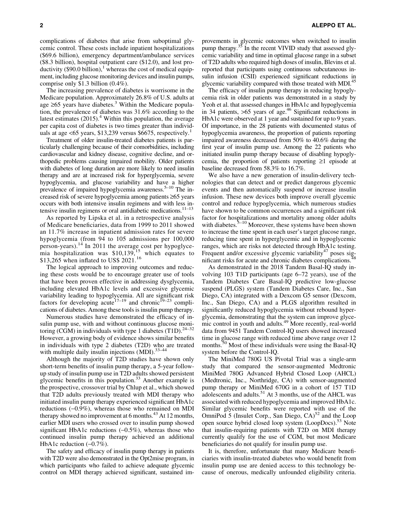complications of diabetes that arise from suboptimal glycemic control. These costs include inpatient hospitalizations (\$69.6 billion), emergency department/ambulance services (\$8.3 billion), hospital outpatient care (\$12.0), and lost productivity  $(\$90.0$  billion),<sup>1</sup> whereas the cost of medical equipment, including glucose monitoring devices and insulin pumps, comprise only \$1.3 billion (0.4%).

The increasing prevalence of diabetes is worrisome in the Medicare population. Approximately 26.8% of U.S. adults at age  $\geq 65$  years have diabetes.<sup>3</sup> Within the Medicare population, the prevalence of diabetes was 31.6% according to the latest estimates  $(2015)^{4}$  Within this population, the average per capita cost of diabetes is two times greater than individuals at age  $\leq 65$  years, \$13,239 versus \$6675, respectively.<sup>1</sup>

Treatment of older insulin-treated diabetes patients is particularly challenging because of their comorbidities, including cardiovascular and kidney disease, cognitive decline, and orthopedic problems causing impaired mobility. Older patients with diabetes of long duration are more likely to need insulin therapy and are at increased risk for hyperglycemia, severe hypoglycemia, and glucose variability and have a higher prevalence of impaired hypoglycemia awareness.<sup>5–10</sup> The increased risk of severe hypoglycemia among patients  $\geq 65$  years occurs with both intensive insulin regimens and with less intensive insulin regimens or oral antidiabetic medications. $11-13$ 

As reported by Lipska et al. in a retrospective analysis of Medicare beneficiaries, data from 1999 to 2011 showed an 11.7% increase in inpatient admission rates for severe hypoglycemia (from 94 to 105 admissions per 100,000 person-years).<sup>14</sup> In 2011 the average cost per hypoglycemia hospitalization was  $$10,139$ ,<sup>15</sup> which equates to \$13,265 when inflated to US\$ 2021.<sup>16</sup>

The logical approach to improving outcomes and reducing these costs would be to encourage greater use of tools that have been proven effective in addressing dysglycemia, including elevated HbA1c levels and excessive glycemic variability leading to hypoglycemia. All are significant risk factors for developing acute<sup>17–19</sup> and chronic<sup>19–23</sup> complications of diabetes. Among these tools is insulin pump therapy.

Numerous studies have demonstrated the efficacy of insulin pump use, with and without continuous glucose monitoring (CGM) in individuals with type 1 diabetes  $(T1D)^{24-32}$ However, a growing body of evidence shows similar benefits in individuals with type 2 diabetes (T2D) who are treated with multiple daily insulin injections  $(MDI)$ .  $33-44$ 

Although the majority of T2D studies have shown only short-term benefits of insulin pump therapy, a 5-year followup study of insulin pump use in T2D adults showed persistent glycemic benefits in this population. $33$  Another example is the prospective, crossover trial by Chlup et al., which showed that T2D adults previously treated with MDI therapy who initiated insulin pump therapy experienced significant HbA1c reductions (-0.9%), whereas those who remained on MDI therapy showed no improvement at 6 months.<sup>43</sup> At 12 months, earlier MDI users who crossed over to insulin pump showed significant HbA1c reductions  $(-0.5\%)$ , whereas those who continued insulin pump therapy achieved an additional HbA1c reduction  $(-0.7\%)$ .

The safety and efficacy of insulin pump therapy in patients with T2D were also demonstrated in the Opt2mise program, in which participants who failed to achieve adequate glycemic control on MDI therapy achieved significant, sustained improvements in glycemic outcomes when switched to insulin pump therapy.<sup>35</sup> In the recent VIVID study that assessed glycemic variability and time in optimal glucose range in a subset of T2D adults who required high doses of insulin, Blevins et al. reported that participants using continuous subcutaneous insulin infusion (CSII) experienced significant reductions in glycemic variability compared with those treated with MDI.<sup>45</sup>

The efficacy of insulin pump therapy in reducing hypoglycemia risk in older patients was demonstrated in a study by Yeoh et al. that assessed changes in HbA1c and hypoglycemia in 34 patients,  $>65$  years of age.<sup>46</sup> Significant reductions in HbA1c were observed at 1 year and sustained for up to 9 years. Of importance, in the 28 patients with documented status of hypoglycemia awareness, the proportion of patients reporting impaired awareness decreased from 50% to 40.6% during the first year of insulin pump use. Among the 22 patients who initiated insulin pump therapy because of disabling hypoglycemia, the proportion of patients reporting  $\geq 1$  episode at baseline decreased from 58.3% to 16.7%.

We also have a new generation of insulin-delivery technologies that can detect and or predict dangerous glycemic events and then automatically suspend or increase insulin infusion. These new devices both improve overall glycemic control and reduce hypoglycemia, which numerous studies have shown to be common occurrences and a significant risk factor for hospitalizations and mortality among older adults with diabetes.<sup>5–10</sup> Moreover, these systems have been shown to increase the time spent in each user's target glucose range, reducing time spent in hyperglycemic and in hypoglycemic ranges, which are risks not detected through HbA1c testing. Frequent and/or excessive glycemic variability<sup>47</sup> poses significant risks for acute and chronic diabetes complications.<sup>4</sup>

As demonstrated in the 2018 Tandem Basal-IQ study involving 103 T1D participants (age 6–72 years), use of the Tandem Diabetes Care Basal-IQ predictive low-glucose suspend (PLGS) system (Tandem Diabetes Care, Inc., San Diego, CA) integrated with a Dexcom G5 sensor (Dexcom, Inc., San Diego, CA) and a PLGS algorithm resulted in significantly reduced hypoglycemia without rebound hyperglycemia, demonstrating that the system can improve glycemic control in youth and adults.<sup>49</sup> More recently, real-world data from 9451 Tandem Control-IQ users showed increased time in glucose range with reduced time above range over 12 months.<sup>50</sup> Most of these individuals were using the Basal-IQ system before the Control-IQ.

The MiniMed 780G US Pivotal Trial was a single-arm study that compared the sensor-augmented Medtronic MiniMed 780G Advanced Hybrid Closed Loop (AHCL) (Medtronic, Inc., Northridge, CA) with sensor-augmented pump therapy or MiniMed 670G in a cohort of 157 T1D adolescents and adults.<sup>51</sup> At 3 months, use of the AHCL was associated with reduced hypoglycemia and improved HbA1c. Similar glycemic benefits were reported with use of the OmniPod 5 (Insulet Corp., San Diego,  $CA$ )<sup>52</sup> and the Loop open source hybrid closed loop system (LoopDocs).<sup>53</sup> Note that insulin-requiring patients with T2D on MDI therapy currently qualify for the use of CGM, but most Medicare beneficiaries do not qualify for insulin pump use.

It is, therefore, unfortunate that many Medicare beneficiaries with insulin-treated diabetes who would benefit from insulin pump use are denied access to this technology because of onerous, medically unfounded eligibility criteria.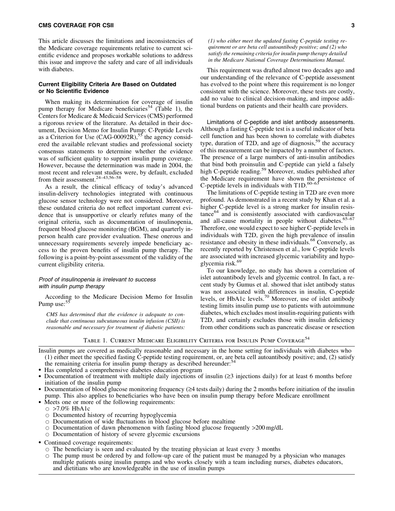#### CMS COVERAGE FOR CSII 3

This article discusses the limitations and inconsistencies of the Medicare coverage requirements relative to current scientific evidence and proposes workable solutions to address this issue and improve the safety and care of all individuals with diabetes.

#### Current Eligibility Criteria Are Based on Outdated or No Scientific Evidence

When making its determination for coverage of insulin pump therapy for Medicare beneficiaries<sup>54</sup> (Table 1), the Centers for Medicare & Medicaid Services (CMS) performed a rigorous review of the literature. As detailed in their document, Decision Memo for Insulin Pump: C-Peptide Levels as a Criterion for Use  $(CAG-00092R)$ <sup>55</sup>, the agency considered the available relevant studies and professional society consensus statements to determine whether the evidence was of sufficient quality to support insulin pump coverage. However, because the determination was made in 2004, the most recent and relevant studies were, by default, excluded from their assessment. $24-43,56-58$ 

As a result, the clinical efficacy of today's advanced insulin-delivery technologies integrated with continuous glucose sensor technology were not considered. Moreover, these outdated criteria do not reflect important current evidence that is unsupportive or clearly refutes many of the original criteria, such as documentation of insulinopenia, frequent blood glucose monitoring (BGM), and quarterly inperson health care provider evaluation. These onerous and unnecessary requirements severely impede beneficiary access to the proven benefits of insulin pump therapy. The following is a point-by-point assessment of the validity of the current eligibility criteria.

#### Proof of insulinopenia is irrelevant to success with insulin pump therapy

According to the Medicare Decision Memo for Insulin Pump use:<sup>55</sup>

*CMS has determined that the evidence is adequate to conclude that continuous subcutaneous insulin infusion (CSII) is reasonable and necessary for treatment of diabetic patients:*

*(1) who either meet the updated fasting C-peptide testing requirement or are beta cell autoantibody positive; and (2) who satisfy the remaining criteria for insulin pump therapy detailed in the Medicare National Coverage Determinations Manual.*

This requirement was drafted almost two decades ago and our understanding of the relevance of C-peptide assessment has evolved to the point where this requirement is no longer consistent with the science. Moreover, these tests are costly, add no value to clinical decision-making, and impose additional burdens on patients and their health care providers.

Limitations of C-peptide and islet antibody assessments. Although a fasting C-peptide test is a useful indicator of beta cell function and has been shown to correlate with diabetes type, duration of T2D, and age of diagnosis,<sup>59</sup> the accuracy of this measurement can be impacted by a number of factors. The presence of a large numbers of anti-insulin antibodies that bind both proinsulin and C-peptide can yield a falsely high C-peptide reading.<sup>59</sup> Moreover, studies published after the Medicare requirement have shown the persistence of C-peptide levels in individuals with  $T1D$ .<sup>60–63</sup>

The limitations of C-peptide testing in T2D are even more profound. As demonstrated in a recent study by Khan et al. a higher C-peptide level is a strong marker for insulin resistance<sup>64</sup> and is consistently associated with cardiovascular and all-cause mortality in people without diabetes. $65-67$ Therefore, one would expect to see higher C-peptide levels in individuals with T2D, given the high prevalence of insulin resistance and obesity in these individuals.<sup>68</sup> Conversely, as recently reported by Christensen et al., low C-peptide levels are associated with increased glycemic variability and hypoglycemia risk.<sup>69</sup>

To our knowledge, no study has shown a correlation of islet autoantibody levels and glycemic control. In fact, a recent study by Gumus et al. showed that islet antibody status was not associated with differences in insulin, C-peptide levels, or HbA1c levels.<sup>70</sup> Moreover, use of islet antibody testing limits insulin pump use to patients with autoimmune diabetes, which excludes most insulin-requiring patients with T2D, and certainly excludes those with insulin deficiency from other conditions such as pancreatic disease or resection

TABLE 1. CURRENT MEDICARE ELIGIBILITY CRITERIA FOR INSULIN PUMP COVERAGE<sup>54</sup>

Insulin pumps are covered as medically reasonable and necessary in the home setting for individuals with diabetes who (1) either meet the specified fasting C-peptide testing requirement, or, are beta cell autoantibody positive; and, (2) satisfy the remaining criteria for insulin pump therapy as described hereunder:<sup>54</sup>

- Has completed a comprehensive diabetes education program
- Documentation of treatment with multiple daily injections of insulin ( $\geq$ 3 injections daily) for at least 6 months before initiation of the insulin pump

• Documentation of blood glucose monitoring frequency ( $\geq 4$  tests daily) during the 2 months before initiation of the insulin pump. This also applies to beneficiaries who have been on insulin pump therapy before Medicare enrollment

- Meets one or more of the following requirements:
	- $\circ$  >7.0% HbA1c
	- $\circ$  Documented history of recurring hypoglycemia
	- $\circ$  Documentation of wide fluctuations in blood glucose before mealtime
	- $\circ$  Documentation of dawn phenomenon with fasting blood glucose frequently >200 mg/dL
	- $\circ$  Documentation of history of severe glycemic excursions
- Continued coverage requirements:
	- $\circ$  The beneficiary is seen and evaluated by the treating physician at least every 3 months
	- $\circ$  The pump must be ordered by and follow-up care of the patient must be managed by a physician who manages multiple patients using insulin pumps and who works closely with a team including nurses, diabetes educators, and dietitians who are knowledgeable in the use of insulin pumps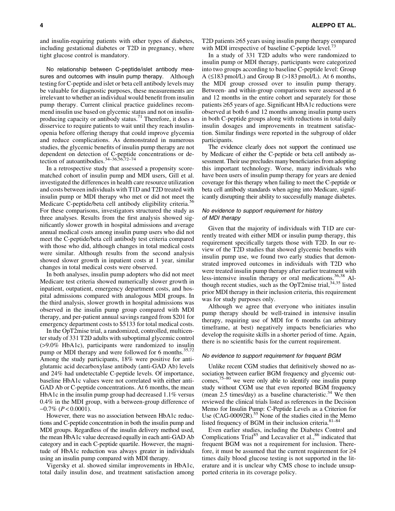and insulin-requiring patients with other types of diabetes, including gestational diabetes or T2D in pregnancy, where tight glucose control is mandatory.

No relationship between C-peptide/islet antibody measures and outcomes with insulin pump therapy. Although testing for C-peptide and islet or beta cell antibody levels may be valuable for diagnostic purposes, these measurements are irrelevant to whether an individual would benefit from insulin pump therapy. Current clinical practice guidelines recommend insulin use based on glycemic status and not on insulinproducing capacity or antibody status.<sup>71</sup> Therefore, it does a disservice to require patients to wait until they reach insulinopenia before offering therapy that could improve glycemia and reduce complications. As demonstrated in numerous studies, the glycemic benefits of insulin pump therapy are not dependent on detection of C-peptide concentrations or detection of autoantibodies. $34-36,56,72-74$ 

In a retrospective study that assessed a propensity scorematched cohort of insulin pump and MDI users, Gill et al. investigated the differences in health care resource utilization and costs between individuals with T1D and T2D treated with insulin pump or MDI therapy who met or did not meet the Medicare C-peptide/beta cell antibody eligibility criteria.<sup>3</sup> For these comparisons, investigators structured the study as three analyses. Results from the first analysis showed significantly slower growth in hospital admissions and average annual medical costs among insulin pump users who did not meet the C-peptide/beta cell antibody test criteria compared with those who did, although changes in total medical costs were similar. Although results from the second analysis showed slower growth in inpatient costs at 1 year, similar changes in total medical costs were observed.

In both analyses, insulin pump adopters who did not meet Medicare test criteria showed numerically slower growth in inpatient, outpatient, emergency department costs, and hospital admissions compared with analogous MDI groups. In the third analysis, slower growth in hospital admissions was observed in the insulin pump group compared with MDI therapy, and per-patient annual savings ranged from \$201 for emergency department costs to \$5133 for total medical costs.

In the OpT2mise trial, a randomized, controlled, multicenter study of 331 T2D adults with suboptimal glycemic control (>9.0% HbA1c), participants were randomized to insulin pump or MDI therapy and were followed for 6 months.<sup>35,72</sup> Among the study participants, 18% were positive for antiglutamic acid decarboxylase antibody (anti-GAD Ab) levels and 24% had undetectable C-peptide levels. Of importance, baseline HbA1c values were not correlated with either anti-GAD Ab or C-peptide concentrations. At 6 months, the mean HbA1c in the insulin pump group had decreased 1.1% versus 0.4% in the MDI group, with a between-group difference of  $-0.7\%$  ( $P < 0.0001$ ).

However, there was no association between HbA1c reductions and C-peptide concentration in both the insulin pump and MDI groups. Regardless of the insulin delivery method used, the mean HbA1c value decreased equally in each anti-GAD Ab category and in each C-peptide quartile. However, the magnitude of HbA1c reduction was always greater in individuals using an insulin pump compared with MDI therapy.

Vigersky et al. showed similar improvements in HbA1c, total daily insulin dose, and treatment satisfaction among T2D patients  $\geq 65$  years using insulin pump therapy compared with MDI irrespective of baseline C-peptide level.<sup>73</sup>

In a study of 331 T2D adults who were randomized to insulin pump or MDI therapy, participants were categorized into two groups according to baseline C-peptide level: Group A ( $\leq$ 183 pmol/L) and Group B ( $>$ 183 pmol/L). At 6 months, the MDI group crossed over to insulin pump therapy. Between- and within-group comparisons were assessed at 6 and 12 months in the entire cohort and separately for those patients  $\geq 65$  years of age. Significant HbA1c reductions were observed at both 6 and 12 months among insulin pump users in both C-peptide groups along with reductions in total daily insulin dosages and improvements in treatment satisfaction. Similar findings were reported in the subgroup of older participants.

The evidence clearly does not support the continued use by Medicare of either the C-peptide or beta cell antibody assessment. Their use precludes many beneficiaries from adopting this important technology. Worse, many individuals who have been users of insulin pump therapy for years are denied coverage for this therapy when failing to meet the C-peptide or beta cell antibody standards when aging into Medicare, significantly disrupting their ability to successfully manage diabetes.

#### No evidence to support requirement for history of MDI therapy

Given that the majority of individuals with T1D are currently treated with either MDI or insulin pump therapy, this requirement specifically targets those with T2D. In our review of the T2D studies that showed glycemic benefits with insulin pump use, we found two early studies that demonstrated improved outcomes in individuals with T2D who were treated insulin pump therapy after earlier treatment with less-intensive insulin therapy or oral medications.<sup>36,38</sup> Although recent studies, such as the OpT2mise trial,<sup>34,35</sup> listed prior MDI therapy in their inclusion criteria, this requirement was for study purposes only.

Although we agree that everyone who initiates insulin pump therapy should be well-trained in intensive insulin therapy, requiring use of MDI for 6 months (an arbitrary timeframe, at best) negatively impacts beneficiaries who develop the requisite skills in a shorter period of time. Again, there is no scientific basis for the current requirement.

#### No evidence to support requirement for frequent BGM

Unlike recent CGM studies that definitively showed no association between earlier BGM frequency and glycemic outcomes, $75-80$  we were only able to identify one insulin pump study without CGM use that even reported BGM frequency (mean  $2.5$  times/day) as a baseline characteristic.<sup>34</sup> We then reviewed the clinical trials listed as references in the Decision Memo for Insulin Pump: C-Peptide Levels as a Criterion for Use (CAG-00092R).<sup>55</sup> None of the studies cited in the Memo listed frequency of BGM in their inclusion criteria. $81-84$ 

Even earlier studies, including the Diabetes Control and Complications  $Trial<sup>85</sup>$  and Lecavalier et al., $86$  indicated that frequent BGM was not a requirement for inclusion. Therefore, it must be assumed that the current requirement for  $\geq 4$ times daily blood glucose testing is not supported in the literature and it is unclear why CMS chose to include unsupported criteria in its coverage policy.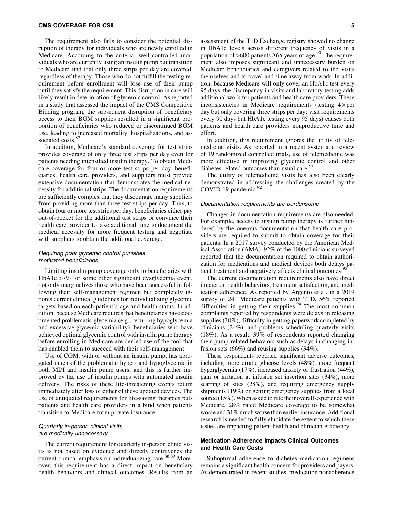The requirement also fails to consider the potential disruption of therapy for individuals who are newly enrolled in Medicare. According to the criteria, well-controlled individuals who are currently using an insulin pump but transition to Medicare find that only three strips per day are covered, regardless of therapy. Those who do not fulfill the testing requirement before enrollment will lose use of their pump until they satisfy the requirement. This disruption in care will likely result in deterioration of glycemic control. As reported in a study that assessed the impact of the CMS Competitive Bidding program, the subsequent disruption of beneficiary access to their BGM supplies resulted in a significant proportion of beneficiaries who reduced or discontinued BGM use, leading to increased mortality, hospitalizations, and associated costs.<sup>87</sup>

In addition, Medicare's standard coverage for test strips provides coverage of only three test strips per day even for patients needing intensified insulin therapy. To obtain Medicare coverage for four or more test strips per day, beneficiaries, health care providers, and suppliers must provide extensive documentation that demonstrates the medical necessity for additional strips. The documentation requirements are sufficiently complex that they discourage many suppliers from providing more than three test strips per day. Thus, to obtain four or more test strips per day, beneficiaries either pay out-of-pocket for the additional test strips or convince their health care provider to take additional time to document the medical necessity for more frequent testing and negotiate with suppliers to obtain the additional coverage.

#### Requiring poor glycemic control punishes motivated beneficiaries

Limiting insulin pump coverage only to beneficiaries with HbA1c >7%, or some other significant dysglycemia event, not only marginalizes those who have been successful in following their self-management regimen but completely ignores current clinical guidelines for individualizing glycemic targets based on each patient's age and health status. In addition, because Medicare requires that beneficiaries have documented problematic glycemia (e.g., recurring hypoglycemia and excessive glycemic variability), beneficiaries who have achieved optimal glycemic control with insulin pump therapy before enrolling in Medicare are denied use of the tool that has enabled them to succeed with their self-management.

Use of CGM, with or without an insulin pump, has abrogated much of the problematic hyper- and hypoglycemia in both MDI and insulin pump users, and this is further improved by the use of insulin pumps with automated insulin delivery. The risks of these life-threatening events return immediately after loss of either of these updated devices. The use of antiquated requirements for life-saving therapies puts patients and health care providers in a bind when patients transition to Medicare from private insurance.

#### Quarterly in-person clinical visits are medically unnecessary

The current requirement for quarterly in-person clinic visits is not based on evidence and directly contravenes the current clinical emphasis on individualizing care.<sup>88,89</sup> Moreover, this requirement has a direct impact on beneficiary health behaviors and clinical outcomes. Results from an assessment of the T1D Exchange registry showed no change in HbA1c levels across different frequency of visits in a population of  $>600$  patients  $\geq 65$  years of age.<sup>90</sup> The requirement also imposes significant and unnecessary burden on Medicare beneficiaries and caregivers related to the visits themselves and to travel and time away from work. In addition, because Medicare will only cover an HbA1c test every 95 days, the discrepancy in visits and laboratory testing adds additional work for patients and health care providers. These inconsistencies in Medicare requirements (testing  $4 \times per$ day but only covering three strips per day; visit requirements every 90 days but HbA1c testing every 95 days) causes both patients and health care providers nonproductive time and effort.

In addition, this requirement ignores the utility of telemedicine visits. As reported in a recent systematic review of 19 randomized controlled trials, use of telemedicine was more effective in improving glycemic control and other diabetes-related outcomes than usual care.<sup>9</sup>

The utility of telemedicine visits has also been clearly demonstrated in addressing the challenges created by the COVID-19 pandemic. $92$ 

#### Documentation requirements are burdensome

Changes in documentation requirements are also needed. For example, access to insulin pump therapy is further hindered by the onerous documentation that health care providers are required to submit to obtain coverage for their patients. In a 2017 survey conducted by the American Medical Association (AMA), 92% of the 1000 clinicians surveyed reported that the documentation required to obtain authorization for medications and medical devices both delays patient treatment and negatively affects clinical outcomes.<sup>5</sup>

The current documentation requirements also have direct impact on health behaviors, treatment satisfaction, and medication adherence. As reported by Argento et al. in a 2019 survey of 241 Medicare patients with T1D, 56% reported difficulties in getting their supplies.<sup>94</sup> The most common complaints reported by respondents were delays in releasing supplies (30%), difficulty in getting paperwork completed by clinicians (24%), and problems scheduling quarterly visits (18%). As a result, 39% of respondents reported changing their pump-related behaviors such as delays in changing infusion sets (66%) and reusing supplies (34%).

These respondents reported significant adverse outcomes, including more erratic glucose levels (48%), more frequent hyperglycemia (17%), increased anxiety or frustration (44%), pain or irritation at infusion set insertion sites (34%), more scarring of sites (28%), and requiring emergency supply shipments (19%) or getting emergency supplies from a local source (15%). When asked to rate their overall experience with Medicare, 28% rated Medicare coverage to be somewhat worse and 31% much worse than earlier insurance. Additional research is needed to fully elucidate the extent to which these issues are impacting patient health and clinician efficiency.

#### Medication Adherence Impacts Clinical Outcomes and Health Care Costs

Suboptimal adherence to diabetes medication regimens remains a significant health concern for providers and payers. As demonstrated in recent studies, medication nonadherence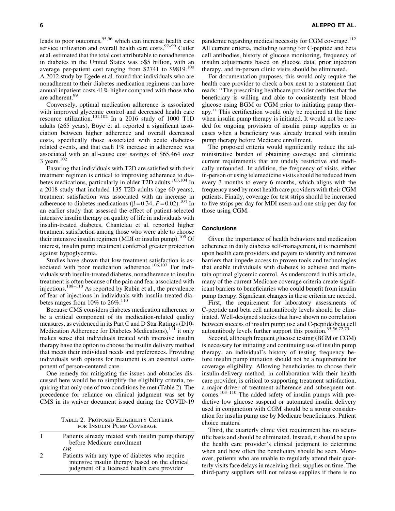leads to poor outcomes,  $95,96$  which can increase health care service utilization and overall health care costs. $97-99$  Cutler et al. estimated that the total cost attributable to nonadherence in diabetes in the United States was >\$5 billion, with an average per-patient cost ranging from \$2741 to \$9819.<sup>100</sup> A 2012 study by Egede et al. found that individuals who are nonadherent to their diabetes medication regimens can have annual inpatient costs 41% higher compared with those who are adherent.<sup>99</sup>

Conversely, optimal medication adherence is associated with improved glycemic control and decreased health care resource utilization.101,102 In a 2016 study of 1000 T1D adults  $(≥65$  years), Boye et al. reported a significant association between higher adherence and overall decreased costs, specifically those associated with acute diabetesrelated events, and that each 1% increase in adherence was associated with an all-cause cost savings of \$65,464 over  $3$  years.<sup>102</sup>

Ensuring that individuals with T2D are satisfied with their treatment regimen is critical to improving adherence to diabetes medications, particularly in older T2D adults.<sup>103,104</sup> In a 2018 study that included 135 T2D adults (age 60 years), treatment satisfaction was associated with an increase in adherence to diabetes medications ( $\beta$  = 0.34, *P* = 0.02).<sup>104</sup> In an earlier study that assessed the effect of patient-selected intensive insulin therapy on quality of life in individuals with insulin-treated diabetes, Chantelau et al. reported higher treatment satisfaction among those who were able to choose their intensive insulin regimen (MDI or insulin pump).<sup>105</sup> Of interest, insulin pump treatment conferred greater protection against hypoglycemia.

Studies have shown that low treatment satisfaction is associated with poor medication adherence.<sup>106,107</sup> For individuals with insulin-treated diabetes, nonadherence to insulin treatment is often because of the pain and fear associated with injections.<sup>108–110</sup> As reported by Rubin et al., the prevalence of fear of injections in individuals with insulin-treated diabetes ranges from  $10\%$  to  $26\%.$ <sup>110</sup>

Because CMS considers diabetes medication adherence to be a critical component of its medication-related quality measures, as evidenced in its Part C and D Star Ratings (D10- Medication Adherence for Diabetes Medications),<sup>111</sup> it only makes sense that individuals treated with intensive insulin therapy have the option to choose the insulin delivery method that meets their individual needs and preferences. Providing individuals with options for treatment is an essential component of person-centered care.

One remedy for mitigating the issues and obstacles discussed here would be to simplify the eligibility criteria, requiring that only one of two conditions be met (Table 2). The precedence for reliance on clinical judgment was set by CMS in its waiver document issued during the COVID-19

Table 2. Proposed Eligibility Criteria for Insulin Pump Coverage

|                             | Patients already treated with insulin pump therapy<br>before Medicare enrollment |
|-----------------------------|----------------------------------------------------------------------------------|
|                             | OR                                                                               |
| $\mathcal{D}_{\mathcal{L}}$ | Patients with any type of diabetes who require                                   |
|                             | intensive insulin therapy based on the clinical                                  |
|                             | judgment of a licensed health care provider                                      |

pandemic regarding medical necessity for CGM coverage.<sup>112</sup> All current criteria, including testing for C-peptide and beta cell antibodies, history of glucose monitoring, frequency of insulin adjustments based on glucose data, prior injection therapy, and in-person clinic visits should be eliminated.

For documentation purposes, this would only require the health care provider to check a box next to a statement that reads: ''The prescribing healthcare provider certifies that the beneficiary is willing and able to consistently test blood glucose using BGM or CGM prior to initiating pump therapy.'' This certification would only be required at the time when insulin pump therapy is initiated. It would not be needed for ongoing provision of insulin pump supplies or in cases when a beneficiary was already treated with insulin pump therapy before Medicare enrollment.

The proposed criteria would significantly reduce the administrative burden of obtaining coverage and eliminate current requirements that are unduly restrictive and medically unfounded. In addition, the frequency of visits, either in-person or using telemedicine visits should be reduced from every 3 months to every 6 months, which aligns with the frequency used by most health care providers with their CGM patients. Finally, coverage for test strips should be increased to five strips per day for MDI users and one strip per day for those using CGM.

#### **Conclusions**

Given the importance of health behaviors and medication adherence in daily diabetes self-management, it is incumbent upon health care providers and payers to identify and remove barriers that impede access to proven tools and technologies that enable individuals with diabetes to achieve and maintain optimal glycemic control. As underscored in this article, many of the current Medicare coverage criteria create significant barriers to beneficiaries who could benefit from insulin pump therapy. Significant changes in these criteria are needed.

First, the requirement for laboratory assessments of C-peptide and beta cell autoantibody levels should be eliminated. Well-designed studies that have shown no correlation between success of insulin pump use and C-peptide/beta cell autoantibody levels further support this position.35,56,72,73

Second, although frequent glucose testing (BGM or CGM) is necessary for initiating and continuing use of insulin pump therapy, an individual's history of testing frequency before insulin pump initiation should not be a requirement for coverage eligibility. Allowing beneficiaries to choose their insulin-delivery method, in collaboration with their health care provider, is critical to supporting treatment satisfaction, a major driver of treatment adherence and subsequent outcomes.<sup>103–110</sup> The added safety of insulin pumps with predictive low glucose suspend or automated insulin delivery used in conjunction with CGM should be a strong consideration for insulin pump use by Medicare beneficiaries. Patient choice matters.

Third, the quarterly clinic visit requirement has no scientific basis and should be eliminated. Instead, it should be up to the health care provider's clinical judgment to determine when and how often the beneficiary should be seen. Moreover, patients who are unable to regularly attend their quarterly visits face delays in receiving their supplies on time. The third-party suppliers will not release supplies if there is no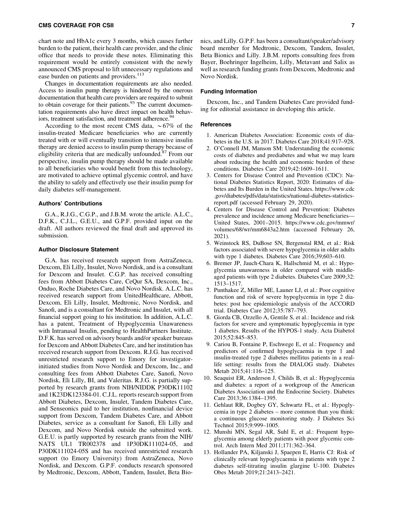chart note and HbA1c every 3 months, which causes further burden to the patient, their health care provider, and the clinic office that needs to provide these notes. Eliminating this requirement would be entirely consistent with the newly announced CMS proposal to lift unnecessary regulations and ease burden on patients and providers.<sup>113</sup>

Changes in documentation requirements are also needed. Access to insulin pump therapy is hindered by the onerous documentation that health care providers are required to submit to obtain coverage for their patients.<sup>93</sup> The current documentation requirements also have direct impact on health behaviors, treatment satisfaction, and treatment adherence.<sup>94</sup>

According to the most recent CMS data,  $\sim 67\%$  of the insulin-treated Medicare beneficiaries who are currently treated with or will eventually transition to intensive insulin therapy are denied access to insulin pump therapy because of eligibility criteria that are medically unfounded.<sup>87</sup> From our perspective, insulin pump therapy should be made available to all beneficiaries who would benefit from this technology, are motivated to achieve optimal glycemic control, and have the ability to safely and effectively use their insulin pump for daily diabetes self-management.

#### Authors' Contributions

G.A., R.J.G., C.G.P., and J.B.M. wrote the article. A.L.C., D.F.K., C.J.L., G.E.U., and G.P.F. provided input on the draft. All authors reviewed the final draft and approved its submission.

#### Author Disclosure Statement

G.A. has received research support from AstraZeneca, Dexcom, Eli Lilly, Insulet, Novo Nordisk, and is a consultant for Dexcom and Insulet. C.G.P. has received consulting fees from Abbott Diabetes Care, CeQur SA, Dexcom, Inc., Onduo, Roche Diabetes Care, and Novo Nordisk. A.L.C. has received research support from UnitedHealthcare, Abbott, Dexcom, Eli Lilly, Insulet, Medtronic, Novo Nordisk, and Sanofi, and is a consultant for Medtronic and Insulet, with all financial support going to his institution. In addition, A.L.C. has a patent, Treatment of Hypoglycemia Unawareness with Intranasal Insulin, pending to HealthPartners Institute. D.F.K. has served on advisory boards and/or speaker bureaus for Dexcom and Abbott Diabetes Care, and her institution has received research support from Dexcom. R.J.G. has received unrestricted research support to Emory for investigatorinitiated studies from Novo Nordisk and Dexcom, Inc., and consulting fees from Abbott Diabetes Care, Sanofi, Novo Nordisk, Eli Lilly, BI, and Valeritas. R.J.G. is partially supported by research grants from NIH/NIDDK P30DK11102 and 1K23DK123384-01. C.J.L. reports research support from Abbott Diabetes, Dexcom, Insulet, Tandem Diabetes Care, and Senseonics paid to her institution, nonfinancial device support from Dexcom, Tandem Diabetes Care, and Abbott Diabetes, service as a consultant for Sanofi, Eli Lilly and Dexcom, and Novo Nordisk outside the submitted work. G.E.U. is partly supported by research grants from the NIH/ NATS UL1 TR002378 and 1P30DK111024-05, and P30DK111024-05S and has received unrestricted research support (to Emory University) from AstraZeneca, Novo Nordisk, and Dexcom. G.P.F. conducts research sponsored by Medtronic, Dexcom, Abbott, Tandem, Insulet, Beta Bionics, and Lilly. G.P.F. has been a consultant/speaker/advisory board member for Medtronic, Dexcom, Tandem, Insulet, Beta Bionics and Lilly. J.B.M. reports consulting fees from Bayer, Boehringer Ingelheim, Lilly, Metavant and Salix as well as research funding grants from Dexcom, Medtronic and Novo Nordisk.

#### Funding Information

Dexcom, Inc., and Tandem Diabetes Care provided funding for editorial assistance in developing this article.

#### References

- 1. American Diabetes Association: Economic costs of diabetes in the U.S. in 2017. Diabetes Care 2018;41:917–928.
- 2. O'Connell JM, Manson SM: Understanding the economic costs of diabetes and prediabetes and what we may learn about reducing the health and economic burden of these conditions. Diabetes Care 2019;42:1609–1611.
- 3. Centers for Disease Control and Prevention (CDC): National Diabetes Statistics Report, 2020: Estimates of diabetes and Its Burden in the United States. [https://www.cdc](https://www.cdc.gov/diabetes/pdfs/data/statistics/national-diabetes-statistics-report.pdf) [.gov/diabetes/pdfs/data/statistics/national-diabetes-statistics](https://www.cdc.gov/diabetes/pdfs/data/statistics/national-diabetes-statistics-report.pdf)[report.pdf](https://www.cdc.gov/diabetes/pdfs/data/statistics/national-diabetes-statistics-report.pdf) (accessed February 29, 2020).
- 4. Centers for Disease Control and Prevention: Diabetes prevalence and incidence among Medicare beneficiaries— United States, 2001–2015. [https://www.cdc.gov/mmwr/](https://www.cdc.gov/mmwr/volumes/68/wr/mm6843a2.htm) [volumes/68/wr/mm6843a2.htm](https://www.cdc.gov/mmwr/volumes/68/wr/mm6843a2.htm) (accessed February 26, 2021).
- 5. Weinstock RS, DuBose SN, Bergenstal RM, et al.: Risk factors associated with severe hypoglycemia in older adults with type 1 diabetes. Diabetes Care 2016;39;603–610.
- 6. Bremer JP, Jauch-Chara K, Hallschmid M, et al.: Hypoglycemia unawareness in older compared with middleaged patients with type 2 diabetes. Diabetes Care 2009;32: 1513–1517.
- 7. Punthakee Z, Miller ME, Launer LJ, et al.: Poor cognitive function and risk of severe hypoglycemia in type 2 diabetes: post hoc epidemiologic analysis of the ACCORD trial. Diabetes Care 2012;35:787–793.
- 8. Giorda CB, Ozzello A, Gentile S, et al.: Incidence and risk factors for severe and symptomatic hypoglycemia in type 1 diabetes. Results of the HYPOS-1 study. Acta Diabetol 2015;52:845–853.
- 9. Cariou B, Fontaine P, Eschwege E, et al.: Frequency and predictors of confirmed hypoglycaemia in type 1 and insulin-treated type 2 diabetes mellitus patients in a reallife setting: results from the DIALOG study. Diabetes Metab 2015;41:116–125.
- 10. Seaquist ER, Anderson J, Childs B, et al.: Hypoglycemia and diabetes: a report of a workgroup of the American Diabetes Association and the Endocrine Society. Diabetes Care 2013;36:1384–1395.
- 11. Gehlaut RR, Dogbey GY, Schwartz FL, et al.: Hypoglycemia in type 2 diabetes – more common than you think: a continuous glucose monitoring study. J Diabetes Sci Technol 2015;9:999–1005.
- 12. Munshi MN, Segal AR, Suhl E, et al.: Frequent hypoglycemia among elderly patients with poor glycemic control. Arch Intern Med 2011;171:362–364.
- 13. Hollander PA, Kiljanski J, Spaepen E, Harris CJ: Risk of clinically relevant hypoglycaemia in patients with type 2 diabetes self-titrating insulin glargine U-100. Diabetes Obes Metab 2019;21:2413–2421.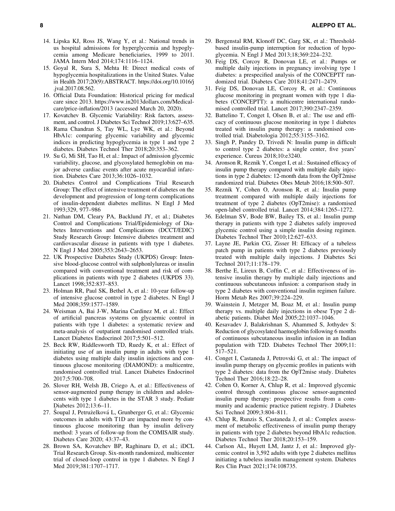- 14. Lipska KJ, Ross JS, Wang Y, et al.: National trends in us hospital admissions for hyperglycemia and hypoglycemia among Medicare beneficiaries, 1999 to 2011. JAMA Intern Med 2014;174:1116–1124.
- 15. Goyal R, Sura S, Mehta H: Direct medical costs of hypoglycemia hospitalizations in the United States. Value in Health 2017;20(9):ABSTRACT. [https://doi.org/10.1016/j](https://doi.org/10.1016/j.jval.2017.08.562) [.jval.2017.08.562](https://doi.org/10.1016/j.jval.2017.08.562).
- 16. Official Data Foundation: Historical pricing for medical care since 2013. [https://www.in2013dollars.com/Medical](https://www.in2013dollars.com/Medical-care/price-inflation/2013)[care/price-inflation/2013](https://www.in2013dollars.com/Medical-care/price-inflation/2013) (accessed March 20, 2020).
- 17. Kovatchev B. Glycemic Variability: Risk factors, assessment, and control. J Diabetes Sci Technol 2019;13:627–635.
- 18. Rama Chandran S, Tay WL, Lye WK, et al.: Beyond HbA1c: comparing glycemic variability and glycemic indices in predicting hypoglycemia in type 1 and type 2 diabetes. Diabetes Technol Ther 2018;20:353–362.
- 19. Su G, Mi SH, Tao H, et al.: Impact of admission glycemic variability, glucose, and glycosylated hemoglobin on major adverse cardiac events after acute myocardial infarction. Diabetes Care 2013;36:1026–1032.
- 20. Diabetes Control and Complications Trial Research Group: The effect of intensive treatment of diabetes on the development and progression of long-term complications of insulin-dependent diabetes mellitus. N Engl J Med 1993;329, 977–986
- 21. Nathan DM, Cleary PA, Backlund JY, et al.; Diabetes Control and Complications Trial/Epidemiology of Diabetes Interventions and Complications (DCCT/EDIC) Study Research Group: Intensive diabetes treatment and cardiovascular disease in patients with type 1 diabetes. N Engl J Med 2005;353:2643–2653.
- 22. UK Prospective Diabetes Study (UKPDS) Group: Intensive blood-glucose control with sulphonlylureas or insulin compared with conventional treatment and risk of complications in patients with type 2 diabetes (UKPDS 33). Lancet 1998;352:837–853.
- 23. Holman RR, Paul SK, Bethel A, et al.: 10-year follow-up of intensive glucose control in type 2 diabetes. N Engl J Med 2008;359:1577–1589.
- 24. Weisman A, Bai J-W, Marina Cardinez M, et al.: Effect of artificial pancreas systems on glycaemic control in patients with type 1 diabetes: a systematic review and meta-analysis of outpatient randomised controlled trials. Lancet Diabetes Endocrinol 2017;5:501–512.
- 25. Beck RW, Riddlesworth TD, Ruedy K, et al.: Effect of initiating use of an insulin pump in adults with type 1 diabetes using multiple daily insulin injections and continuous glucose monitoring (DIAMOND): a multicentre, randomised controlled trial. Lancet Diabetes Endocrinol 2017;5:700–708.
- 26. Slover RH, Welsh JB, Criego A, et al.: Effectiveness of sensor-augmented pump therapy in children and adolescents with type 1 diabetes in the STAR 3 study. Pediatr Diabetes 2012;13:6–11.
- 27. Šoupal J, Petruželková L, Grunberger G, et al.: Glycemic outcomes in adults with T1D are impacted more by continuous glucose monitoring than by insulin delivery method: 3 years of follow-up from the COMISAIR study. Diabetes Care 2020; 43:37–43.
- 28. Brown SA, Kovatchev BP, Raghinaru D, et al.; iDCL Trial Research Group. Six-month randomized, multicenter trial of closed-loop control in type 1 diabetes. N Engl J Med 2019;381:1707–1717.
- 29. Bergenstal RM, Klonoff DC, Garg SK, et al.: Thresholdbased insulin-pump interruption for reduction of hypoglycemia. N Engl J Med 2013;18;369:224–232.
- 30. Feig DS, Corcoy R, Donovan LE, et al.: Pumps or multiple daily injections in pregnancy involving type 1 diabetes: a prespecified analysis of the CONCEPTT randomized trial. Diabetes Care 2018;41:2471–2479.
- 31. Feig DS, Donovan LE, Corcoy R, et al.: Continuous glucose monitoring in pregnant women with type 1 diabetes (CONCEPTT): a multicentre international randomised controlled trial. Lancet 2017;390:2347–2359.
- 32. Battelino T, Conget I, Olsen B, et al.: The use and efficacy of continuous glucose monitoring in type 1 diabetes treated with insulin pump therapy: a randomised controlled trial. Diabetologia 2012;55:3155–3162.
- 33. Singh P, Pandey D, Trivedi N: Insulin pump in difficult to control type 2 diabetes: a single center, five years' experience. Cureus 2018;10:e3240.
- 34. Aronson R, Reznik Y, Conget I, et al.: Sustained efficacy of insulin pump therapy compared with multiple daily injections in type 2 diabetes: 12-month data from the OpT2mise randomized trial. Diabetes Obes Metab 2016;18:500–507.
- 35. Reznik Y, Cohen O, Aronson R, et al.: Insulin pump treatment compared with multiple daily injections for treatment of type 2 diabetes (OpT2mise): a randomised open-label controlled trial. Lancet 2014;384:1265–1272.
- 36. Edelman SV, Bode BW, Bailey TS, et al.: Insulin pump therapy in patients with type 2 diabetes safely improved glycemic control using a simple insulin dosing regimen. Diabetes Technol Ther 2010;12:627–633.
- 37. Layne JE, Parkin CG, Zisser H: Efficacy of a tubeless patch pump in patients with type 2 diabetes previously treated with multiple daily injections. J Diabetes Sci Technol 2017;11:178–179.
- 38. Berthe E, Lireux B, Coffin C, et al.: Effectiveness of intensive insulin therapy by multiple daily injections and continuous subcutaneous infusion: a comparison study in type 2 diabetes with conventional insulin regimen failure. Horm Metab Res 2007;39:224–229.
- 39. Wainstein J, Metzger M, Boaz M, et al.: Insulin pump therapy vs. multiple daily injections in obese Type 2 diabetic patients. Diabet Med 2005;22:1037–1046.
- 40. Kesavadev J, Balakrishnan S, Ahammed S, Jothydev S: Reduction of glycosylated haemoglobin following 6 months of continuous subcutaneous insulin infusion in an Indian population with T2D. Diabetes Technol Ther 2009;11: 517–521.
- 41. Conget I, Castaneda J, Petrovski G, et al.: The impact of insulin pump therapy on glycemic profiles in patients with type 2 diabetes: data from the OpT2mise study. Diabetes Technol Ther 2016;18:22–28.
- 42. Cohen O, Korner A, Chlup R, et al.: Improved glycemic control through continuous glucose sensor-augmented insulin pump therapy: prospective results from a community and academic practice patient registry. J Diabetes Sci Technol 2009;3:804–811.
- 43. Chlup R, Runzis S, Castaneda J, et al.: Complex assessment of metabolic effectiveness of insulin pump therapy in patients with type 2 diabetes beyond HbA1c reduction. Diabetes Technol Ther 2018;20:153–159.
- 44. Carlson AL, Huyett LM, Jantz J, et al.: Improved glycemic control in 3,592 adults with type 2 diabetes mellitus initiating a tubeless insulin management system. Diabetes Res Clin Pract 2021;174:108735.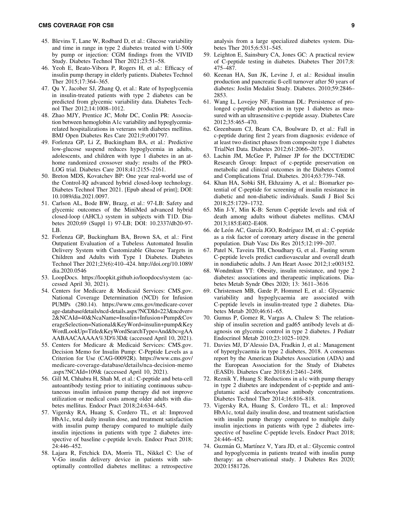- 45. Blevins T, Lane W, Rodbard D, et al.: Glucose variability and time in range in type 2 diabetes treated with U-500r by pump or injection: CGM findings from the VIVID Study. Diabetes Technol Ther 2021;23:51–58.
- 46. Yeoh E, Beato-Vibora P, Rogers H, et al.: Efficacy of insulin pump therapy in elderly patients. Diabetes Technol Ther 2015;17:364–365.
- 47. Qu Y, Jacober SJ, Zhang Q, et al.: Rate of hypoglycemia in insulin-treated patients with type 2 diabetes can be predicted from glycemic variability data. Diabetes Technol Ther 2012;14:1008–1012.
- 48. Zhao MJY, Prentice JC, Mohr DC, Conlin PR: Association between hemoglobin A1c variability and hypoglycemiarelated hospitalizations in veterans with diabetes mellitus. BMJ Open Diabetes Res Care 2021;9:e001797.
- 49. Forlenza GP, Li Z, Buckingham BA, et al.: Predictive low-glucose suspend reduces hypoglycemia in adults, adolescents, and children with type 1 diabetes in an athome randomized crossover study: results of the PRO-LOG trial. Diabetes Care 2018;41:2155–2161.
- 50. Breton MDS, Kovatchev BP: One year real-world use of the Control-IQ advanced hybrid closed-loop technology. Diabetes Technol Ther 2021. [Epub ahead of print]; DOI: 10.1089/dia.2021.0097.
- 51. Carlson AL, Bode BW, Brazg, et al.: 97-LB: Safety and glycemic outcomes of the MiniMed advanced hybrid closed-loop (AHCL) system in subjects with T1D. Diabetes 2020;69 (Suppl 1) 97-LB; DOI: 10.2337/db20-97- LB.
- 52. Forlenza GP, Buckingham BA, Brown SA, et al.: First Outpatient Evaluation of a Tubeless Automated Insulin Delivery System with Customizable Glucose Targets in Children and Adults with Type 1 Diabetes. Diabetes Technol Ther 2021;23(6):410–424. [http://doi.org/10.1089/](http://doi.org/10.1089/dia.2020.0546) [dia.2020.0546](http://doi.org/10.1089/dia.2020.0546)
- 53. LoopDocs.<https://loopkit.github.io/loopdocs/system> (accessed April 30, 2021).
- 54. Centers for Medicare & Medicaid Services: CMS.gov. National Coverage Determination (NCD) for Infusion PUMPs (280.14). [https://www.cms.gov/medicare-cover](https://www.cms.gov/medicare-coverage-database/details/ncd-details.aspx?NCDId=223&ncdver=2&NCAId=40&NcaName=Insulin+Infusion+Pump&CoverageSelection=National&KeyWord=insulin+pump&KeyWordLookUp=Title&KeyWordSearchType=And&bc=gAAAABAACAAAAA%3D%3D&) [age-database/details/ncd-details.aspx?NCDId=223&ncdver=](https://www.cms.gov/medicare-coverage-database/details/ncd-details.aspx?NCDId=223&ncdver=2&NCAId=40&NcaName=Insulin+Infusion+Pump&CoverageSelection=National&KeyWord=insulin+pump&KeyWordLookUp=Title&KeyWordSearchType=And&bc=gAAAABAACAAAAA%3D%3D&) [2&NCAId=40&NcaName=Insulin](https://www.cms.gov/medicare-coverage-database/details/ncd-details.aspx?NCDId=223&ncdver=2&NCAId=40&NcaName=Insulin+Infusion+Pump&CoverageSelection=National&KeyWord=insulin+pump&KeyWordLookUp=Title&KeyWordSearchType=And&bc=gAAAABAACAAAAA%3D%3D&)+Infusion+Pump&Cov [erageSelection=National&KeyWord=insulin](https://www.cms.gov/medicare-coverage-database/details/ncd-details.aspx?NCDId=223&ncdver=2&NCAId=40&NcaName=Insulin+Infusion+Pump&CoverageSelection=National&KeyWord=insulin+pump&KeyWordLookUp=Title&KeyWordSearchType=And&bc=gAAAABAACAAAAA%3D%3D&)+pump&Key [WordLookUp=Title&KeyWordSearchType=And&bc=gAA](https://www.cms.gov/medicare-coverage-database/details/ncd-details.aspx?NCDId=223&ncdver=2&NCAId=40&NcaName=Insulin+Infusion+Pump&CoverageSelection=National&KeyWord=insulin+pump&KeyWordLookUp=Title&KeyWordSearchType=And&bc=gAAAABAACAAAAA%3D%3D&) [AABAACAAAAA%3D%3D&](https://www.cms.gov/medicare-coverage-database/details/ncd-details.aspx?NCDId=223&ncdver=2&NCAId=40&NcaName=Insulin+Infusion+Pump&CoverageSelection=National&KeyWord=insulin+pump&KeyWordLookUp=Title&KeyWordSearchType=And&bc=gAAAABAACAAAAA%3D%3D&) (accessed April 10, 2021).
- 55. Centers for Medicare & Medicaid Services: CMS.gov. Decision Memo for Insulin Pump: C-Peptide Levels as a Criterion for Use (CAG-00092R). [https://www.cms.gov/](https://www.cms.gov/medicare-coverage-database/details/nca-decision-memo.aspx?NCAId=109&) [medicare-coverage-database/details/nca-decision-memo](https://www.cms.gov/medicare-coverage-database/details/nca-decision-memo.aspx?NCAId=109&) [.aspx?NCAId=109&](https://www.cms.gov/medicare-coverage-database/details/nca-decision-memo.aspx?NCAId=109&) (accessed April 10, 2021).
- 56. Gill M, Chhabra H, Shah M, et al.: C-peptide and beta-cell autoantibody testing prior to initiating continuous subcutaneous insulin infusion pump therapy did not improve utilization or medical costs among older adults with diabetes mellitus. Endocr Pract 2018;24:634–645.
- 57. Vigersky RA, Huang S, Cordero TL, et al: Improved HbA1c, total daily insulin dose, and treatment satisfaction with insulin pump therapy compared to multiple daily insulin injections in patients with type 2 diabetes irrespective of baseline c-peptide levels. Endocr Pract 2018; 24:446–452.
- 58. Lajara R, Fetchick DA, Morris TL, Nikkel C: Use of V-Go insulin delivery device in patients with suboptimally controlled diabetes mellitus: a retrospective

analysis from a large specialized diabetes system. Diabetes Ther 2015;6:531–545.

- 59. Leighton E, Sainsbury CA, Jones GC: A practical review of C-peptide testing in diabetes. Diabetes Ther 2017;8: 475–487.
- 60. Keenan HA, Sun JK, Levine J, et al.: Residual insulin production and pancreatic ß-cell turnover after 50 years of diabetes: Joslin Medalist Study. Diabetes. 2010;59:2846– 2853.
- 61. Wang L, Lovejoy NF, Faustman DL: Persistence of prolonged c-peptide production in type 1 diabetes as measured with an ultrasensitive c-peptide assay. Diabetes Care 2012;35:465–470.
- 62. Greenbaum CJ, Beam CA, Boulware D, et al.: Fall in c-peptide during first 2 years from diagnosis: evidence of at least two distinct phases from composite type 1 diabetes TrialNet Data. Diabetes 2012;61:2066–2073.
- 63. Lachin JM, McGee P, Palmer JP for the DCCT/EDIC Research Group: Impact of c-peptide preservation on metabolic and clinical outcomes in the Diabetes Control and Complications Trial. Diabetes. 2014;63:739–748.
- 64. Khan HA, Sobki SH, Ekhzaimy A, et al.: Biomarker potential of C-peptide for screening of insulin resistance in diabetic and non-diabetic individuals. Saudi J Biol Sci 2018;25:1729–1732.
- 65. Min J-Y, Min K-B: Serum C-peptide levels and risk of death among adults without diabetes mellitus. CMAJ 2013;185:E402–E408.
- 66. de León AC, García JGO, Rodríguez IM, et al.: C-peptide as a risk factor of coronary artery disease in the general population. Diab Vasc Dis Res 2015;12:199–207.
- 67. Patel N, Taveira TH, Choudhary G, et al.. Fasting serum C-peptide levels predict cardiovascular and overall death in nondiabetic adults. J Am Heart Assoc 2012;1:e003152.
- 68. Wondmkun YT: Obesity, insulin resistance, and type 2 diabetes: associations and therapeutic implications. Diabetes Metab Syndr Obes 2020; 13: 3611–3616
- 69. Christensen MB, Gæde P, Hommel E, et al.: Glycaemic variability and hypoglycaemia are associated with C-peptide levels in insulin-treated type 2 diabetes. Diabetes Metab 2020;46:61–65.
- 70. Gumus P, Gomez R, Vargas A, Chalew S: The relationship of insulin secretion and gad65 antibody levels at diagnosis on glycemic control in type 2 diabetes. J Pediatr Endocrinol Metab 2010;23:1025–1029.
- 71. Davies MJ, D'Alessio DA, Fradkin J, et al.: Management of hyperglycaemia in type 2 diabetes, 2018. A consensus report by the American Diabetes Association (ADA) and the European Association for the Study of Diabetes (EASD). Diabetes Care 2018;61:2461–2498.
- 72. Reznik Y, Huang S: Reductions in a1c with pump therapy in type 2 diabetes are independent of c-peptide and antiglutamic acid decarboxylase antibody concentrations. Diabetes Technol Ther 2014;16:816–818.
- 73. Vigersky RA, Huang S, Cordero TL, et al.: Improved HbA1c, total daily insulin dose, and treatment satisfaction with insulin pump therapy compared to multiple daily insulin injections in patients with type 2 diabetes irrespective of baseline C-peptide levels. Endocr Pract 2018; 24:446–452.
- 74. Guzmán G, Martínez V, Yara JD, et al.: Glycemic control and hypoglycemia in patients treated with insulin pump therapy: an observational study. J Diabetes Res 2020; 2020:1581726.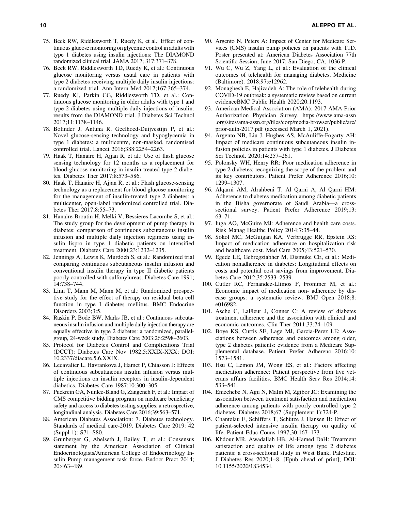- 75. Beck RW, Riddlesworth T, Ruedy K, et al.: Effect of continuous glucose monitoring on glycemic control in adults with type 1 diabetes using insulin injections: The DIAMOND randomized clinical trial. JAMA 2017; 317:371–378.
- 76. Beck RW, Riddlesworth TD, Ruedy K, et al.: Continuous glucose monitoring versus usual care in patients with type 2 diabetes receiving multiple daily insulin injections: a randomized trial. Ann Intern Med 2017;167:365–374.
- 77. Ruedy KJ, Parkin CG, Riddlesworth TD, et al.: Continuous glucose monitoring in older adults with type 1 and type 2 diabetes using multiple daily injections of insulin: results from the DIAMOND trial. J Diabetes Sci Technol 2017;11:1138–1146.
- 78. Bolinder J, Antuna R, Geelhoed-Duijvestijn P, et al.: Novel glucose-sensing technology and hypoglycemia in type 1 diabetes: a multicentre, non-masked, randomised controlled trial. Lancet 2016;388:2254–2263.
- 79. Haak T, Hanaire H, Ajjan R, et al.: Use of flash glucose sensing technology for 12 months as a replacement for blood glucose monitoring in insulin-treated type 2 diabetes. Diabetes Ther 2017;8:573–586.
- 80. Haak T, Hanaire H, Ajjan R, et al.: Flash glucose-sensing technology as a replacement for blood glucose monitoring for the management of insulin-treated type 2 diabetes: a multicenter, open-label randomized controlled trial. Diabetes Ther 2017;8:55–73.
- 81. Hanaire-Broutin H, Melki V, Bessieres-Lacombe S, et al.: The study group for the development of pump therapy in diabetes: comparison of continuous subcutaneous insulin infusion and multiple daily injection regimens using insulin lispro in type 1 diabetic patients on intensified treatment. Diabetes Care 2000;23:1232–1235.
- 82. Jennings A, Lewis K, Murdoch S, et al.: Randomized trial comparing continuous subcutaneous insulin infusion and conventional insulin therapy in type II diabetic patients poorly controlled with sulfonylureas. Diabetes Care 1991; 14:738–744.
- 83. Linn T, Mann M, Mann M, et al.: Randomized prospective study for the effect of therapy on residual beta cell function in type I diabetes mellitus. BMC Endocrine Disorders 2003;3:5.
- 84. Raskin P, Bode BW, Marks JB, et al.: Continuous subcutaneous insulin infusion and multiple daily injection therapy are equally effective in type 2 diabetes: a randomized, parallelgroup, 24-week study. Diabetes Care 2003;26:2598–2603.
- 85. Protocol for Diabetes Control and Complications Trial (DCCT): Diabetes Care Nov 1982;5:XXIX-XXX; DOI: 10.2337/diacare.5.6.XXIX.
- 86. Lecavalier L, Havrankova J, Hamet P, Chiasson J: Effects of continuous subcutaneous insulin infusion versus multiple injections on insulin receptors in insulin-dependent diabetics. Diabetes Care 1987;10:300–305.
- 87. Puckrein GA, Nunlee-Bland G, Zangeneh F, et al.: Impact of CMS competitive bidding program on medicare beneficiary safety and access to diabetes testing supplies: a retrospective, longitudinal analysis. Diabetes Care 2016;39:563–571.
- 88. American Diabetes Association: 7. Diabetes technology. Standards of medical care-2019. Diabetes Care 2019: 42 (Suppl 1): S71–S80.
- 89. Grunberger G, Abelseth J, Bailey T, et al.: Consensus statement by the American Association of Clinical Endocrinologists/American College of Endocrinology Insulin Pump management task force. Endocr Pract 2014; 20:463–489.
- 90. Argento N, Peters A: Impact of Center for Medicare Services (CMS) insulin pump policies on patients with T1D. Poster presented at: American Diabetes Association 77th Scientific Session; June 2017; San Diego, CA, 1036-P.
- 91. Wu C, Wu Z, Yang L, et al.: Evaluation of the clinical outcomes of telehealth for managing diabetes. Medicine (Baltimore). 2018;97:e12962.
- 92. Monaghesh E, Hajizadeh A: The role of telehealth during COVID-19 outbreak: a systematic review based on current evidenceBMC Public Health 2020;20:1193.
- 93. American Medical Association (AMA): 2017 AMA Prior Authorization Physician Survey. [https://www.ama-assn](https://www.ama-assn.org/sites/ama-assn.org/files/corp/media-browser/public/arc/prior-auth-2017.pdf) [.org/sites/ama-assn.org/files/corp/media-browser/public/arc/](https://www.ama-assn.org/sites/ama-assn.org/files/corp/media-browser/public/arc/prior-auth-2017.pdf) [prior-auth-2017.pdf](https://www.ama-assn.org/sites/ama-assn.org/files/corp/media-browser/public/arc/prior-auth-2017.pdf) (accessed March 1, 2021).
- 94. Argento NB, Liu J, Hughes AS, McAuliffe-Fogarty AH: Impact of medicare continuous subcutaneous insulin infusion policies in patients with type 1 diabetes. J Diabetes Sci Technol. 2020;14:257–261.
- 95. Polonsky WH, Henry RR: Poor medication adherence in type 2 diabetes: recognizing the scope of the problem and its key contributors. Patient Prefer Adherence 2016;10: 1299–1307.
- 96. Alqarni AM, Alrahbeni T, Al Qarni A, Al Qarni HM: Adherence to diabetes medication among diabetic patients in the Bisha governorate of Saudi Arabia—a crosssectional survey. Patient Prefer Adherence 2019;13: 63–71.
- 97. Iuga AO, McGuire MJ: Adherence and health care costs. Risk Manag Healthc Policy 2014;7:35–44.
- 98. Sokol MC, McGuigan KA, Verbrugge RR, Epstein RS: Impact of medication adherence on hospitalization risk and healthcare cost. Med Care 2005;43:521–530.
- 99. Egede LE, Gebregziabher M, Dismuke CE, et al.: Medication nonadherence in diabetes: Longitudinal effects on costs and potential cost savings from improvement. Diabetes Care 2012;35:2533–2539.
- 100. Cutler RC, Fernandez-Llimos F, Frommer M, et al.: Economic impact of medication non- adherence by disease groups: a systematic review. BMJ Open 2018;8: e016982.
- 101. Asche C, LaFleur J, Conner C: A review of diabetes treatment adherence and the association with clinical and economic outcomes. Clin Ther 2011;33:74–109.
- 102. Boye KS, Curtis SE, Lage MJ, Garcia-Perez LE: Associations between adherence and outcomes among older, type 2 diabetes patients: evidence from a Medicare Supplemental database. Patient Prefer Adherenc 2016;10: 1573–1581.
- 103. Hsu C, Lemon JM, Wong ES, et al.: Factors affecting medication adherence: Patient perspective from five veterans affairs facilities. BMC Health Serv Res 2014;14: 533–541.
- 104. Emechebe N, Agu N, Malm M, Zgibor JC: Examining the association between treatment satisfaction and medication adherence among patients with poorly controlled type 2 diabetes. Diabetes 2018;67 (Supplement 1):724-P.
- 105. Chantelau E, Schiffers T, Schütze J, Hansen B: Effect of patient-selected intensive insulin therapy on quality of life. Patient Educ Couns 1997;30:167–173.
- 106. Khdour MR, Awadallah HB, Al-Hamed DaH: Treatment satisfaction and quality of life among type 2 diabetes patients: a cross-sectional study in West Bank, Palestine. J Diabetes Res 2020;1–8. [Epub ahead of print]; DOI: 10.1155/2020/1834534.